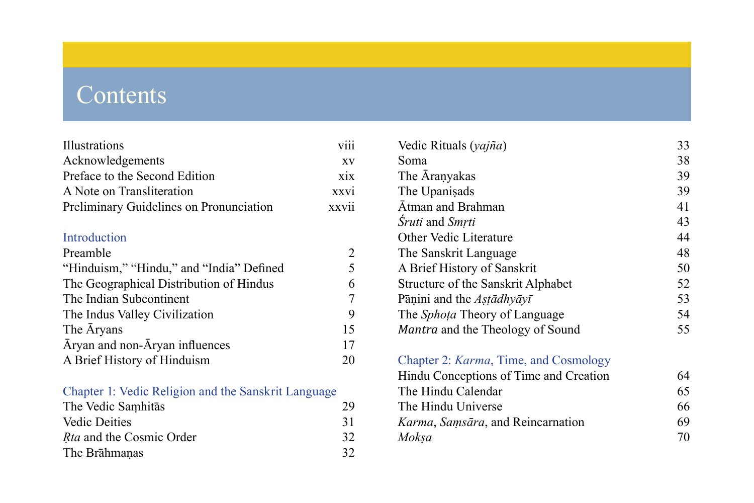# **Contents**

| Illustrations                            | viii             |
|------------------------------------------|------------------|
| Acknowledgements                         | XV               |
| Preface to the Second Edition            | X <sub>1</sub> X |
| A Note on Transliteration                | <b>XXVI</b>      |
| Preliminary Guidelines on Pronunciation  | xxvii            |
| Introduction                             |                  |
| Preamble                                 | 2                |
| "Hinduism," "Hindu," and "India" Defined | 5                |
| The Geographical Distribution of Hindus  | 6                |
| The Indian Subcontinent                  | 7                |
| The Indus Valley Civilization            | 9                |
| The Aryans                               | 15               |
| Āryan and non-Āryan influences           | 17               |
| A Brief History of Hinduism              | 20               |
|                                          |                  |

# [Chapter 1: Vedic Religion and the Sanskrit Language](#page-0-0)

<span id="page-0-0"></span>

| The Vedic Samhitas              | 29 |
|---------------------------------|----|
| <b>Vedic Deities</b>            | 31 |
| <i>Rta</i> and the Cosmic Order | 32 |
| The Brahmanas                   | 32 |

| Vedic Rituals (yajña)                | 33 |
|--------------------------------------|----|
| Soma                                 | 38 |
| The Aranyakas                        | 39 |
| The Upanisads                        | 39 |
| Atman and Brahman                    | 41 |
| Sruti and Smrti                      | 43 |
| Other Vedic Literature               | 44 |
| The Sanskrit Language                | 48 |
| A Brief History of Sanskrit          | 50 |
| Structure of the Sanskrit Alphabet   | 52 |
| Pāṇini and the $A$ stādhyāyī         | 53 |
| The <i>Sphota</i> Theory of Language | 54 |
| Mantra and the Theology of Sound     | 55 |
|                                      |    |

#### Chapter 2: *Karma*[, Time, and Cosmology](#page-0-0)

| Hindu Conceptions of Time and Creation | 64 |
|----------------------------------------|----|
| The Hindu Calendar                     | 65 |
| The Hindu Universe                     | 66 |
| Karma, Samsāra, and Reincarnation      | 69 |
| Moksa                                  | 70 |
|                                        |    |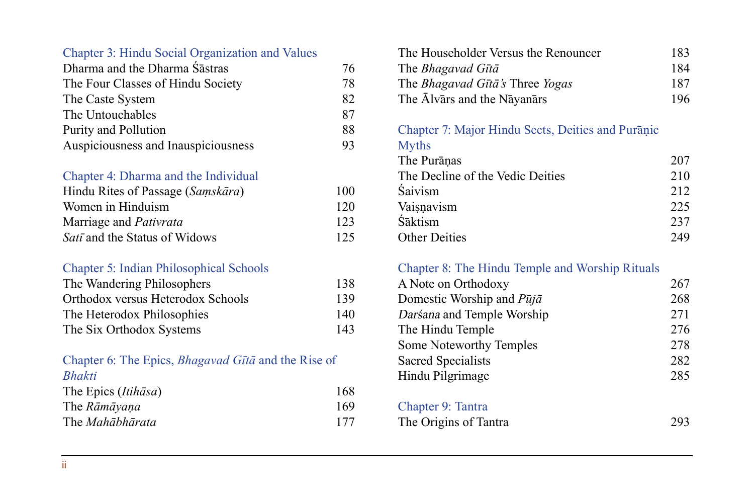#### <span id="page-1-0"></span>[Chapter 3: Hindu Social Organization and Values](#page-0-0)

| Dharma and the Dharma Sastras       | 76 |
|-------------------------------------|----|
| The Four Classes of Hindu Society   | 78 |
| The Caste System                    | 82 |
| The Untouchables                    | 87 |
| Purity and Pollution                | 88 |
| Auspiciousness and Inauspiciousness | 93 |

#### [Chapter 4: Dharma and the Individual](#page-0-0)

| Hindu Rites of Passage (Samskāra)    | 100 |
|--------------------------------------|-----|
| Women in Hinduism                    | 120 |
| Marriage and <i>Pativrata</i>        | 123 |
| <i>Satī</i> and the Status of Widows | 125 |

#### [Chapter 5: Indian Philosophical Schools](#page-0-0)

| The Wandering Philosophers        | 138 |
|-----------------------------------|-----|
| Orthodox versus Heterodox Schools | 139 |
| The Heterodox Philosophies        | 140 |
| The Six Orthodox Systems          | 143 |

#### [Chapter 6: The Epics,](#page-0-0) *Bhagavad Gītā* and the Rise of *[Bhakti](#page-0-0)*

| The Epics ( <i>Itihasa</i> ) | 168 |  |
|------------------------------|-----|--|
| The Rāmāyana                 | 169 |  |
| The <i>Mahābhārata</i>       | 177 |  |

#### [The Householder Versus the Renouncer](#page-16-0) 183 The *[Bhagavad](#page-17-0) Gītā* 184 The *[Bhagavad Gītā's](#page-20-0)* Three *Yogas* 187 [The Ālvārs and the Nāyanārs 196](#page-29-0)

[Chapter 7: Major Hindu Sects, Deities and Purāṇic](#page-0-0) 

# [Myths](#page-0-0)

| The Puranas                      | 207 |
|----------------------------------|-----|
| The Decline of the Vedic Deities | 210 |
| <b>Saivism</b>                   | 212 |
| Vaisnavism                       | 225 |
| Śāktism                          | 237 |
| <b>Other Deities</b>             | 249 |

#### [Chapter 8: The Hindu Temple and Worship Rituals](#page-0-0)

| A Note on Orthodoxy        | 267 |
|----------------------------|-----|
| Domestic Worship and Pūjā  | 268 |
| Darśana and Temple Worship | 271 |
| The Hindu Temple           | 276 |
| Some Noteworthy Temples    | 278 |
| Sacred Specialists         | 282 |
| Hindu Pilgrimage           | 285 |
| Chapter 9: Tantra          |     |
|                            |     |

The Origins of Tantra 293